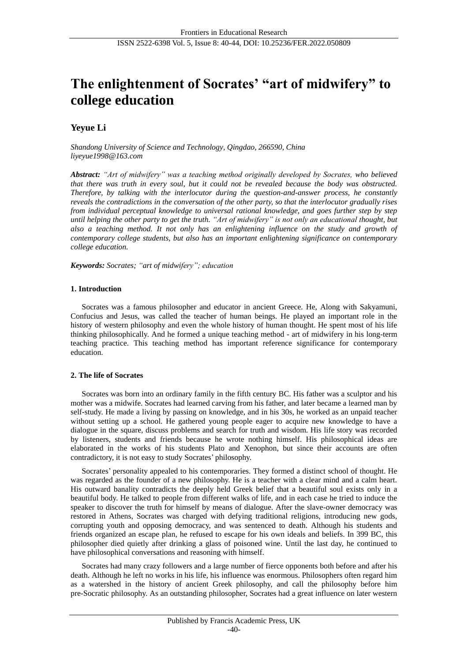# **The enlightenment of Socrates' "art of midwifery" to college education**

# **Yeyue Li**

*Shandong University of Science and Technology, Qingdao, 266590, China liyeyue1998@163.com*

*Abstract: "Art of midwifery" was a teaching method originally developed by Socrates, who believed that there was truth in every soul, but it could not be revealed because the body was obstructed. Therefore, by talking with the interlocutor during the question-and-answer process, he constantly reveals the contradictions in the conversation of the other party, so that the interlocutor gradually rises from individual perceptual knowledge to universal rational knowledge, and goes further step by step until helping the other party to get the truth. "Art of midwifery" is not only an educational thought, but also a teaching method. It not only has an enlightening influence on the study and growth of contemporary college students, but also has an important enlightening significance on contemporary college education.*

*Keywords: Socrates; "art of midwifery"; education*

# **1. Introduction**

Socrates was a famous philosopher and educator in ancient Greece. He, Along with Sakyamuni, Confucius and Jesus, was called the teacher of human beings. He played an important role in the history of western philosophy and even the whole history of human thought. He spent most of his life thinking philosophically. And he formed a unique teaching method - art of midwifery in his long-term teaching practice. This teaching method has important reference significance for contemporary education.

# **2. The life of Socrates**

Socrates was born into an ordinary family in the fifth century BC. His father was a sculptor and his mother was a midwife. Socrates had learned carving from his father, and later became a learned man by self-study. He made a living by passing on knowledge, and in his 30s, he worked as an unpaid teacher without setting up a school. He gathered young people eager to acquire new knowledge to have a dialogue in the square, discuss problems and search for truth and wisdom. His life story was recorded by listeners, students and friends because he wrote nothing himself. His philosophical ideas are elaborated in the works of his students Plato and Xenophon, but since their accounts are often contradictory, it is not easy to study Socrates' philosophy.

Socrates' personality appealed to his contemporaries. They formed a distinct school of thought. He was regarded as the founder of a new philosophy. He is a teacher with a clear mind and a calm heart. His outward banality contradicts the deeply held Greek belief that a beautiful soul exists only in a beautiful body. He talked to people from different walks of life, and in each case he tried to induce the speaker to discover the truth for himself by means of dialogue. After the slave-owner democracy was restored in Athens, Socrates was charged with defying traditional religions, introducing new gods, corrupting youth and opposing democracy, and was sentenced to death. Although his students and friends organized an escape plan, he refused to escape for his own ideals and beliefs. In 399 BC, this philosopher died quietly after drinking a glass of poisoned wine. Until the last day, he continued to have philosophical conversations and reasoning with himself.

Socrates had many crazy followers and a large number of fierce opponents both before and after his death. Although he left no works in his life, his influence was enormous. Philosophers often regard him as a watershed in the history of ancient Greek philosophy, and call the philosophy before him pre-Socratic philosophy. As an outstanding philosopher, Socrates had a great influence on later western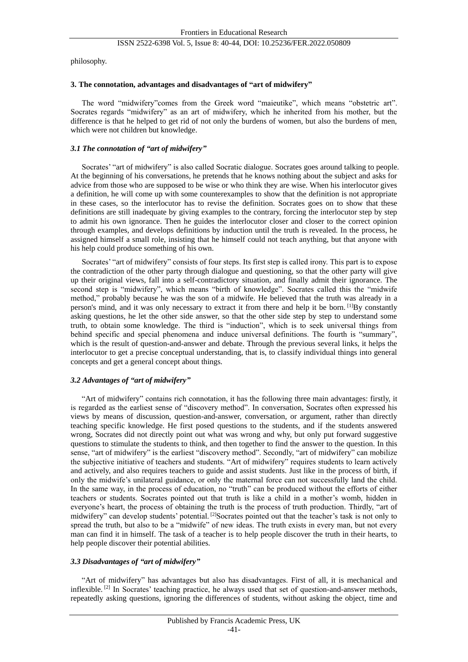philosophy.

# **3. The connotation, advantages and disadvantages of "art of midwifery"**

The word "midwifery"comes from the Greek word "maieutike", which means "obstetric art". Socrates regards "midwifery" as an art of midwifery, which he inherited from his mother, but the difference is that he helped to get rid of not only the burdens of women, but also the burdens of men, which were not children but knowledge.

# *3.1 The connotation of "art of midwifery"*

Socrates' "art of midwifery" is also called Socratic dialogue. Socrates goes around talking to people. At the beginning of his conversations, he pretends that he knows nothing about the subject and asks for advice from those who are supposed to be wise or who think they are wise. When his interlocutor gives a definition, he will come up with some counterexamples to show that the definition is not appropriate in these cases, so the interlocutor has to revise the definition. Socrates goes on to show that these definitions are still inadequate by giving examples to the contrary, forcing the interlocutor step by step to admit his own ignorance. Then he guides the interlocutor closer and closer to the correct opinion through examples, and develops definitions by induction until the truth is revealed. In the process, he assigned himself a small role, insisting that he himself could not teach anything, but that anyone with his help could produce something of his own.

Socrates' "art of midwifery" consists of four steps. Its first step is called irony. This part is to expose the contradiction of the other party through dialogue and questioning, so that the other party will give up their original views, fall into a self-contradictory situation, and finally admit their ignorance. The second step is "midwifery", which means "birth of knowledge". Socrates called this the "midwife method," probably because he was the son of a midwife. He believed that the truth was already in a person's mind, and it was only necessary to extract it from there and help it be born. <sup>[1]</sup>By constantly asking questions, he let the other side answer, so that the other side step by step to understand some truth, to obtain some knowledge. The third is "induction", which is to seek universal things from behind specific and special phenomena and induce universal definitions. The fourth is "summary", which is the result of question-and-answer and debate. Through the previous several links, it helps the interlocutor to get a precise conceptual understanding, that is, to classify individual things into general concepts and get a general concept about things.

# *3.2 Advantages of "art of midwifery"*

"Art of midwifery" contains rich connotation, it has the following three main advantages: firstly, it is regarded as the earliest sense of "discovery method". In conversation, Socrates often expressed his views by means of discussion, question-and-answer, conversation, or argument, rather than directly teaching specific knowledge. He first posed questions to the students, and if the students answered wrong, Socrates did not directly point out what was wrong and why, but only put forward suggestive questions to stimulate the students to think, and then together to find the answer to the question. In this sense, "art of midwifery" is the earliest "discovery method". Secondly, "art of midwifery" can mobilize the subjective initiative of teachers and students. "Art of midwifery" requires students to learn actively and actively, and also requires teachers to guide and assist students. Just like in the process of birth, if only the midwife's unilateral guidance, or only the maternal force can not successfully land the child. In the same way, in the process of education, no "truth" can be produced without the efforts of either teachers or students. Socrates pointed out that truth is like a child in a mother's womb, hidden in everyone's heart, the process of obtaining the truth is the process of truth production. Thirdly, "art of midwifery" can develop students' potential. <sup>[2]</sup>Socrates pointed out that the teacher's task is not only to spread the truth, but also to be a "midwife" of new ideas. The truth exists in every man, but not every man can find it in himself. The task of a teacher is to help people discover the truth in their hearts, to help people discover their potential abilities.

# *3.3 Disadvantages of "art of midwifery"*

"Art of midwifery" has advantages but also has disadvantages. First of all, it is mechanical and inflexible.<sup>[2]</sup> In Socrates' teaching practice, he always used that set of question-and-answer methods, repeatedly asking questions, ignoring the differences of students, without asking the object, time and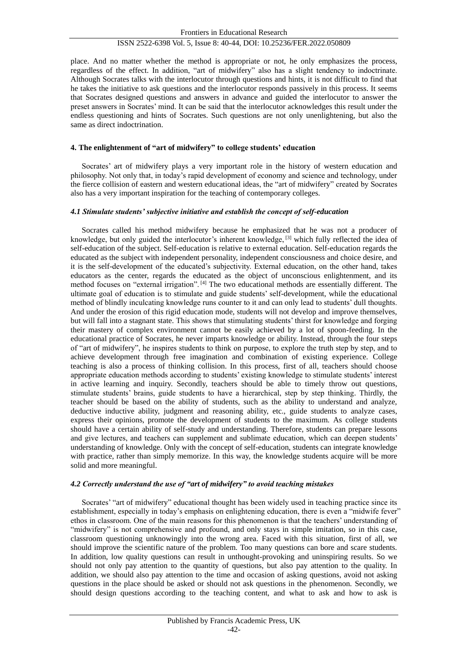place. And no matter whether the method is appropriate or not, he only emphasizes the process, regardless of the effect. In addition, "art of midwifery" also has a slight tendency to indoctrinate. Although Socrates talks with the interlocutor through questions and hints, it is not difficult to find that he takes the initiative to ask questions and the interlocutor responds passively in this process. It seems that Socrates designed questions and answers in advance and guided the interlocutor to answer the preset answers in Socrates' mind. It can be said that the interlocutor acknowledges this result under the endless questioning and hints of Socrates. Such questions are not only unenlightening, but also the same as direct indoctrination.

#### **4. The enlightenment of "art of midwifery" to college students' education**

Socrates' art of midwifery plays a very important role in the history of western education and philosophy. Not only that, in today's rapid development of economy and science and technology, under the fierce collision of eastern and western educational ideas, the "art of midwifery" created by Socrates also has a very important inspiration for the teaching of contemporary colleges.

#### *4.1 Stimulate students' subjective initiative and establish the concept of self-education*

Socrates called his method midwifery because he emphasized that he was not a producer of knowledge, but only guided the interlocutor's inherent knowledge, [3] which fully reflected the idea of self-education of the subject. Self-education is relative to external education. Self-education regards the educated as the subject with independent personality, independent consciousness and choice desire, and it is the self-development of the educated's subjectivity. External education, on the other hand, takes educators as the center, regards the educated as the object of unconscious enlightenment, and its method focuses on "external irrigation". [4] The two educational methods are essentially different. The ultimate goal of education is to stimulate and guide students' self-development, while the educational method of blindly inculcating knowledge runs counter to it and can only lead to students' dull thoughts. And under the erosion of this rigid education mode, students will not develop and improve themselves, but will fall into a stagnant state. This shows that stimulating students' thirst for knowledge and forging their mastery of complex environment cannot be easily achieved by a lot of spoon-feeding. In the educational practice of Socrates, he never imparts knowledge or ability. Instead, through the four steps of "art of midwifery", he inspires students to think on purpose, to explore the truth step by step, and to achieve development through free imagination and combination of existing experience. College teaching is also a process of thinking collision. In this process, first of all, teachers should choose appropriate education methods according to students' existing knowledge to stimulate students' interest in active learning and inquiry. Secondly, teachers should be able to timely throw out questions, stimulate students' brains, guide students to have a hierarchical, step by step thinking. Thirdly, the teacher should be based on the ability of students, such as the ability to understand and analyze, deductive inductive ability, judgment and reasoning ability, etc., guide students to analyze cases, express their opinions, promote the development of students to the maximum. As college students should have a certain ability of self-study and understanding. Therefore, students can prepare lessons and give lectures, and teachers can supplement and sublimate education, which can deepen students' understanding of knowledge. Only with the concept of self-education, students can integrate knowledge with practice, rather than simply memorize. In this way, the knowledge students acquire will be more solid and more meaningful.

# *4.2 Correctly understand the use of "art of midwifery" to avoid teaching mistakes*

Socrates' "art of midwifery" educational thought has been widely used in teaching practice since its establishment, especially in today's emphasis on enlightening education, there is even a "midwife fever" ethos in classroom. One of the main reasons for this phenomenon is that the teachers' understanding of "midwifery" is not comprehensive and profound, and only stays in simple imitation, so in this case, classroom questioning unknowingly into the wrong area. Faced with this situation, first of all, we should improve the scientific nature of the problem. Too many questions can bore and scare students. In addition, low quality questions can result in unthought-provoking and uninspiring results. So we should not only pay attention to the quantity of questions, but also pay attention to the quality. In addition, we should also pay attention to the time and occasion of asking questions, avoid not asking questions in the place should be asked or should not ask questions in the phenomenon. Secondly, we should design questions according to the teaching content, and what to ask and how to ask is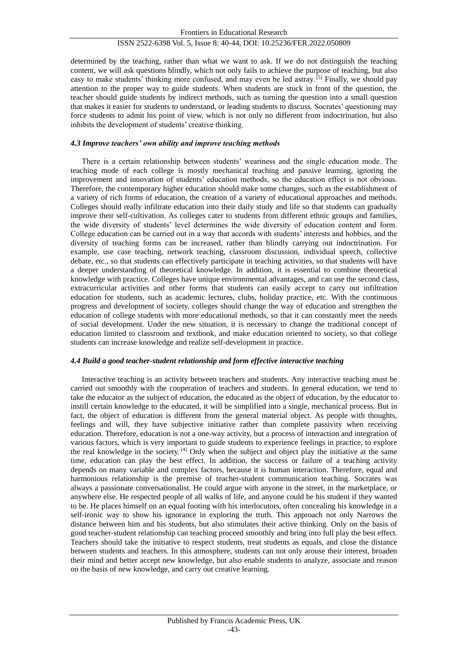determined by the teaching, rather than what we want to ask. If we do not distinguish the teaching content, we will ask questions blindly, which not only fails to achieve the purpose of teaching, but also easy to make students' thinking more confused, and may even be led astray. [5] Finally, we should pay attention to the proper way to guide students. When students are stuck in front of the question, the teacher should guide students by indirect methods, such as turning the question into a small question that makes it easier for students to understand, or leading students to discuss. Socrates' questioning may force students to admit his point of view, which is not only no different from indoctrination, but also inhibits the development of students' creative thinking.

### *4.3 Improve teachers' own ability and improve teaching methods*

There is a certain relationship between students' weariness and the single education mode. The teaching mode of each college is mostly mechanical teaching and passive learning, ignoring the improvement and innovation of students' education methods, so the education effect is not obvious. Therefore, the contemporary higher education should make some changes, such as the establishment of a variety of rich forms of education, the creation of a variety of educational approaches and methods. Colleges should really infiltrate education into their daily study and life so that students can gradually improve their self-cultivation. As colleges cater to students from different ethnic groups and families, the wide diversity of students' level determines the wide diversity of education content and form. College education can be carried out in a way that accords with students' interests and hobbies, and the diversity of teaching forms can be increased, rather than blindly carrying out indoctrination. For example, use case teaching, network teaching, classroom discussion, individual speech, collective debate, etc., so that students can effectively participate in teaching activities, so that students will have a deeper understanding of theoretical knowledge. In addition, it is essential to combine theoretical knowledge with practice. Colleges have unique environmental advantages, and can use the second class, extracurricular activities and other forms that students can easily accept to carry out infiltration education for students, such as academic lectures, clubs, holiday practice, etc. With the continuous progress and development of society, colleges should change the way of education and strengthen the education of college students with more educational methods, so that it can constantly meet the needs of social development. Under the new situation, it is necessary to change the traditional concept of education limited to classroom and textbook, and make education oriented to society, so that college students can increase knowledge and realize self-development in practice.

# *4.4 Build a good teacher-student relationship and form effective interactive teaching*

Interactive teaching is an activity between teachers and students. Any interactive teaching must be carried out smoothly with the cooperation of teachers and students. In general education, we tend to take the educator as the subject of education, the educated as the object of education, by the educator to instill certain knowledge to the educated, it will be simplified into a single, mechanical process. But in fact, the object of education is different from the general material object. As people with thoughts, feelings and will, they have subjective initiative rather than complete passivity when receiving education. Therefore, education is not a one-way activity, but a process of interaction and integration of various factors, which is very important to guide students to experience feelings in practice, to explore the real knowledge in the society. [4] Only when the subject and object play the initiative at the same time, education can play the best effect. In addition, the success or failure of a teaching activity depends on many variable and complex factors, because it is human interaction. Therefore, equal and harmonious relationship is the premise of teacher-student communication teaching. Socrates was always a passionate conversationalist. He could argue with anyone in the street, in the marketplace, or anywhere else. He respected people of all walks of life, and anyone could be his student if they wanted to be. He places himself on an equal footing with his interlocutors, often concealing his knowledge in a self-ironic way to show his ignorance in exploring the truth. This approach not only Narrows the distance between him and his students, but also stimulates their active thinking. Only on the basis of good teacher-student relationship can teaching proceed smoothly and bring into full play the best effect. Teachers should take the initiative to respect students, treat students as equals, and close the distance between students and teachers. In this atmosphere, students can not only arouse their interest, broaden their mind and better accept new knowledge, but also enable students to analyze, associate and reason on the basis of new knowledge, and carry out creative learning.